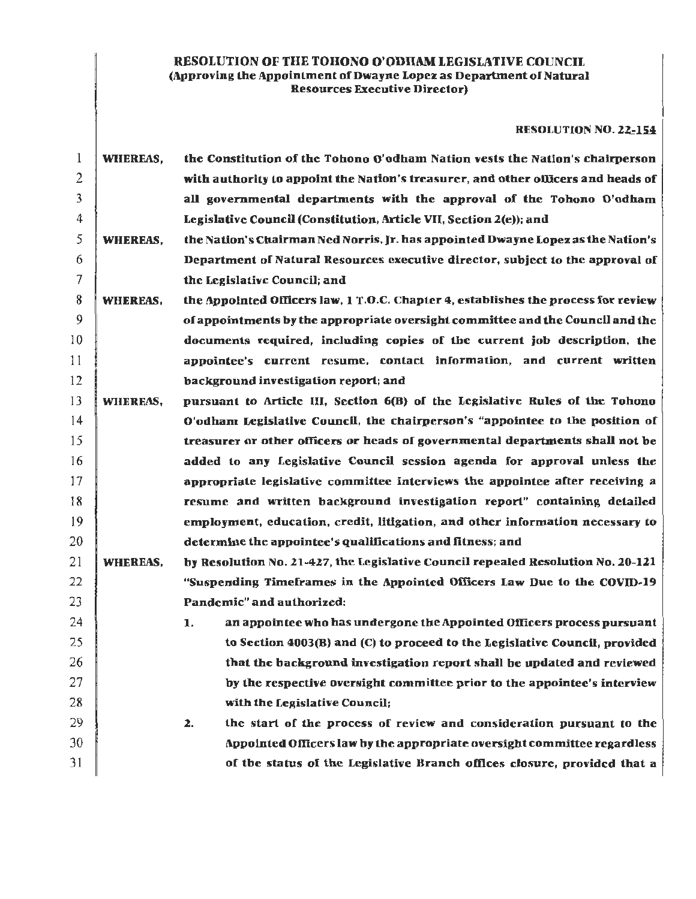# RESOLUTION OF THE TOHONO O'ODIIAM LEGISLATIVE COUNCIL (Approving the Appointment of Dwayne Lopez as Department of Natural Resources Executive Director)

## RESOLUTION NO. 22-154

| 1  | WHEREAS,        | the Constitution of the Tohono O'odham Nation vests the Nation's chairperson       |
|----|-----------------|------------------------------------------------------------------------------------|
| 2  |                 | with authority to appoint the Nation's treasurer, and other officers and heads of  |
| 3  |                 | all governmental departments with the approval of the Tohono O'odham               |
| 4  |                 | Legislative Council (Constitution, Article VII, Section 2(e)); and                 |
| 5  | WHEREAS,        | the Nation's Chairman Ned Norris, Jr. has appointed Dwayne Lopez as the Nation's   |
| 6  |                 | Department of Natural Resources executive director, subject to the approval of     |
| 7  |                 | the Legislative Council; and                                                       |
| 8  | <b>WHEREAS,</b> | the Appointed Officers law, 1 T.O.C. Chapter 4, establishes the process for review |
| 9  |                 | of appointments by the appropriate oversight committee and the Council and the     |
| 10 |                 | documents required, including copies of the current job description, the           |
| 11 |                 | appointee's current resume, contact information, and current written               |
| 12 |                 | background investigation report; and                                               |
| 13 | WHEREAS,        | pursuant to Article III, Section 6(B) of the Legislative Rules of the Tohono       |
| 14 |                 | O'odham Legislative Council, the chairperson's "appointee to the position of       |
| 15 |                 | treasurer or other officers or heads of governmental departments shall not be      |
| 16 |                 | added to any Legislative Council session agenda for approval unless the            |
| 17 |                 | appropriate legislative committee interviews the appointee after receiving a       |
| 18 |                 | resume and written background investigation report" containing detailed            |
| 19 |                 | employment, education, credit, litigation, and other information necessary to      |
| 20 |                 | determine the appointee's qualifications and fitness; and                          |
| 21 | <b>WHEREAS,</b> | by Resolution No. 21-427, the Legislative Council repealed Resolution No. 20-121   |
| 22 |                 | "Suspending Timeframes in the Appointed Officers Law Due to the COVID-19           |
| 23 |                 | Pandemic" and authorized:                                                          |
| 24 |                 | an appointee who has undergone the Appointed Officers process pursuant<br>1.       |
| 25 |                 | to Section 4003(B) and (C) to proceed to the Legislative Council, provided         |
| 26 |                 | that the background investigation report shall be updated and reviewed             |
| 27 |                 | by the respective oversight committee prior to the appointee's interview           |
| 28 |                 | with the Legislative Council;                                                      |
| 29 |                 | the start of the process of review and consideration pursuant to the<br>2.         |
| 30 |                 | Appointed Officers law by the appropriate oversight committee regardless           |
| 31 |                 | of the status of the Legislative Branch offices closure, provided that a           |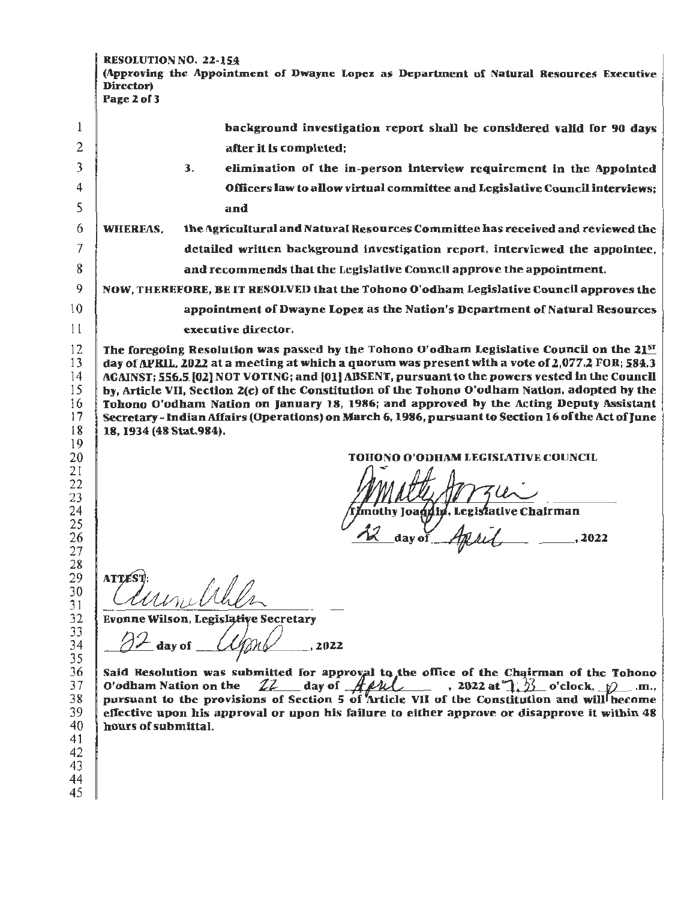| $\,$ RESOLUTION NO. 22-154 $\,$                                                           |  |
|-------------------------------------------------------------------------------------------|--|
| A (Approving the Appointment of Dwayne Lopez as Department of Natural Resources Executive |  |
| Director)                                                                                 |  |
| Page 2 of 3                                                                               |  |

|              | background investigation report shall be considered valid for 90 days                                                                                                                            |  |  |  |  |  |  |
|--------------|--------------------------------------------------------------------------------------------------------------------------------------------------------------------------------------------------|--|--|--|--|--|--|
| $\mathbf{2}$ | after it is completed;                                                                                                                                                                           |  |  |  |  |  |  |
| 3            | elimination of the in-person interview requirement in the Appointed<br>3.                                                                                                                        |  |  |  |  |  |  |
| 4            | Officers law to allow virtual committee and Legislative Council interviews;                                                                                                                      |  |  |  |  |  |  |
| 5            | and                                                                                                                                                                                              |  |  |  |  |  |  |
| 6            | the Agricultural and Natural Resources Committee has received and reviewed the<br><b>WHEREAS.</b>                                                                                                |  |  |  |  |  |  |
| 7            | detailed written background investigation report, interviewed the appointee,                                                                                                                     |  |  |  |  |  |  |
| 8            | and recommends that the Legislative Council approve the appointment.                                                                                                                             |  |  |  |  |  |  |
| 9            | NOW, THEREFORE, BE IT RESOLVED that the Tohono O'odham Legislative Council approves the                                                                                                          |  |  |  |  |  |  |
| 10           | appointment of Dwayne Lopez as the Nation's Department of Natural Resources                                                                                                                      |  |  |  |  |  |  |
| 11           | executive director.                                                                                                                                                                              |  |  |  |  |  |  |
| 12           | The foregoing Resolution was passed by the Tohono O'odham Legislative Council on the 21 <sup>st</sup>                                                                                            |  |  |  |  |  |  |
| 13           | day of APRIL, 2022 at a meeting at which a quorum was present with a vote of 2,077.2 FOR; 584.3<br>AGAINST; 556.5 [02] NOT VOTING; and [01] ABSENT, pursuant to the powers vested in the Council |  |  |  |  |  |  |
| 14<br>15     | by, Article VII, Section 2(e) of the Constitution of the Tohono O'odham Nation, adopted by the                                                                                                   |  |  |  |  |  |  |
| 16           | Tohono O'odham Nation on January 18, 1986; and approved by the Acting Deputy Assistant                                                                                                           |  |  |  |  |  |  |
| 17           | Secretary - Indian Affairs (Operations) on March 6, 1986, pursuant to Section 16 of the Act of June                                                                                              |  |  |  |  |  |  |
| 18           | 18, 1934 (48 Stat.984).                                                                                                                                                                          |  |  |  |  |  |  |
| 19           |                                                                                                                                                                                                  |  |  |  |  |  |  |
| 20           | TOHONO O'ODHAM LEGISLATIVE COUNCIL                                                                                                                                                               |  |  |  |  |  |  |
| 21<br>22     | Amerth America                                                                                                                                                                                   |  |  |  |  |  |  |

mothy Joaquin, Legislative Chairman ر)<br>day of , 2022

**ATTEST** 

Evonne Wilson, Legisl

day of  $\angle$  Uph  $\angle$  . 2022

Said Resolution was submitted for approval to the office of the Chairman of the Tohono O'odham Nation on the  $22$  day of  $A\mu\lambda$ , 2022 at 1.  $3$  o'clock,  $\mathcal{D}$  m., pursuant to the provisions of Section 5 of Article VII of the Constitution and will become effective upon his approval or upon his failure to either approve or disapprove it within 48 hours of submittal.

44 45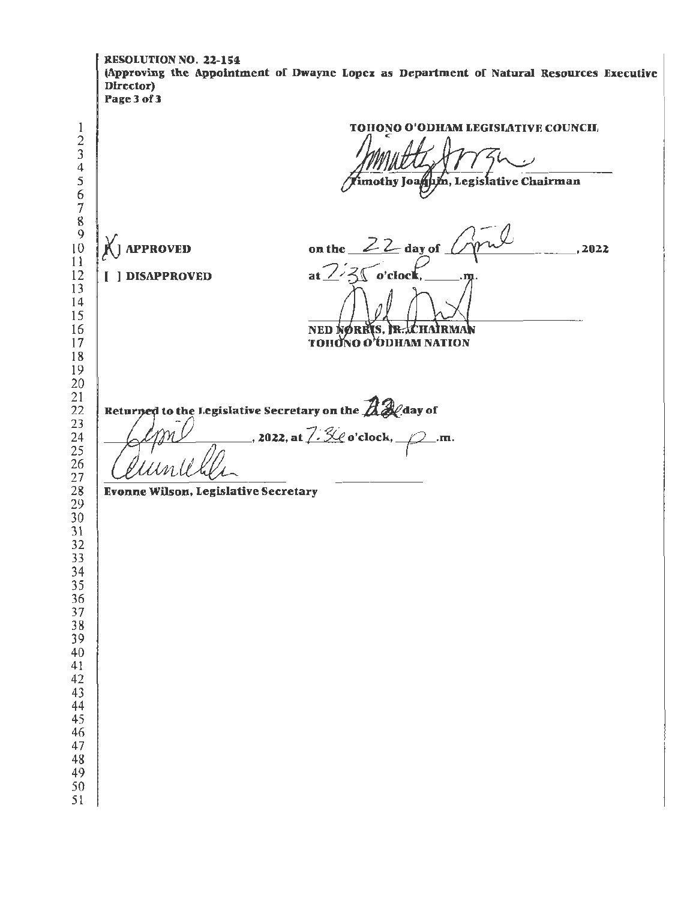**RESOLUTION NO. 22-154** (Approving the Appointment of Dwayne Lopez as Department of Natural Resources Executive Director) Page 3 of 3 TOHONO O'ODHAM LEGISLATIVE COUNCIL  $\mathbf{1}$  $\frac{2}{3}$  $\overline{4}$  $\frac{5}{6}$ imothy Joanum, Legislative Chairman  $\overline{7}$ 8  $\overline{Q}$ on the  $22$  day of  $10$ **APPROVED**  $, 2022$  $11$ at  $\frac{7}{3}$  $12$ [ ] DISAPPROVED o'clocl 13  $14$ 15 16 **NED NØRRIS, R. LEHAIRMAN TOHONO O'ODHAM NATION** 17 18 19  $20$ 21 Returned to the Legislative Secretary on the  $\mathbb{Z}\mathscr{Q}$  day of  $22$ 23 ., 2022, at  $\frac{7.50}{1.00}$  o'clock,  $\frac{1}{1.00}$ .m. 24  $\overline{25}$ 26  $\overline{27}$ 28 **Evonne Wilson, Legislative Secretary**  $\overline{29}$ 30  $\overline{31}$ 32  $\overline{33}$ 34  $\overline{35}$ 36 37 38 39 40  $41$ 42 43 44 45 46 47 48 49 50 51